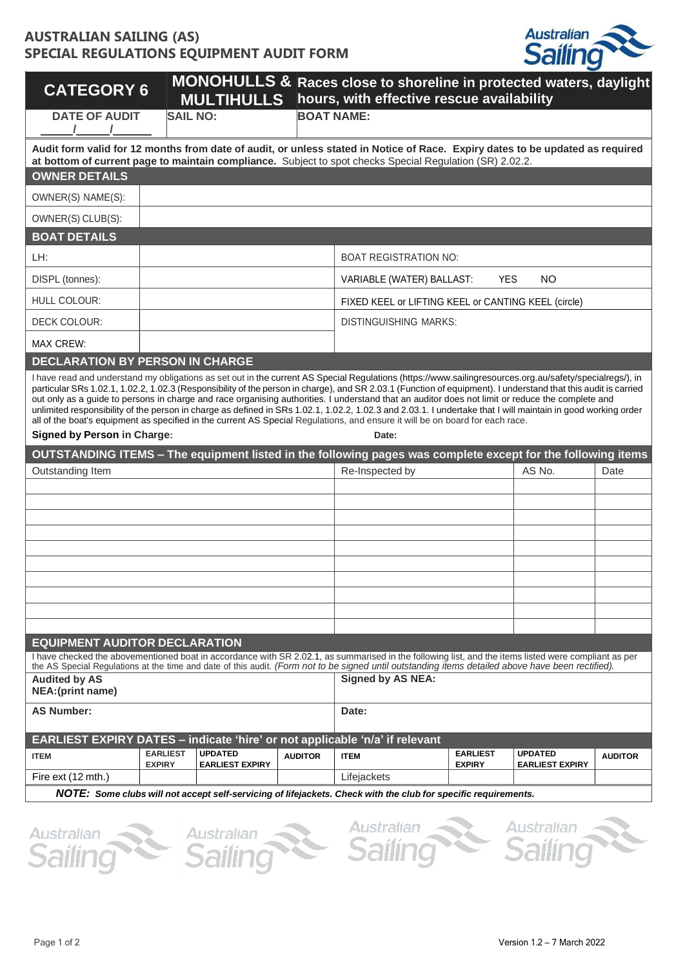# **AUSTRALIAN SAILING (AS) SPECIAL REGULATIONS EQUIPMENT AUDIT FORM**



| <b>CATEGORY 6</b>                                                           |                                  | <b>MULTIHULLS</b>                        |                   | MONOHULLS & Races close to shoreline in protected waters, daylight<br>hours, with effective rescue availability                                                                                                                                                                                                                                                                                                                                                                                                                                                                                                                                                                                                                                                                 |                                  |                                          |                |
|-----------------------------------------------------------------------------|----------------------------------|------------------------------------------|-------------------|---------------------------------------------------------------------------------------------------------------------------------------------------------------------------------------------------------------------------------------------------------------------------------------------------------------------------------------------------------------------------------------------------------------------------------------------------------------------------------------------------------------------------------------------------------------------------------------------------------------------------------------------------------------------------------------------------------------------------------------------------------------------------------|----------------------------------|------------------------------------------|----------------|
| <b>DATE OF AUDIT</b>                                                        | <b>SAIL NO:</b>                  |                                          | <b>BOAT NAME:</b> |                                                                                                                                                                                                                                                                                                                                                                                                                                                                                                                                                                                                                                                                                                                                                                                 |                                  |                                          |                |
|                                                                             |                                  |                                          |                   | Audit form valid for 12 months from date of audit, or unless stated in Notice of Race. Expiry dates to be updated as required<br>at bottom of current page to maintain compliance. Subject to spot checks Special Regulation (SR) 2.02.2.                                                                                                                                                                                                                                                                                                                                                                                                                                                                                                                                       |                                  |                                          |                |
| <b>OWNER DETAILS</b>                                                        |                                  |                                          |                   |                                                                                                                                                                                                                                                                                                                                                                                                                                                                                                                                                                                                                                                                                                                                                                                 |                                  |                                          |                |
| OWNER(S) NAME(S):                                                           |                                  |                                          |                   |                                                                                                                                                                                                                                                                                                                                                                                                                                                                                                                                                                                                                                                                                                                                                                                 |                                  |                                          |                |
| OWNER(S) CLUB(S):                                                           |                                  |                                          |                   |                                                                                                                                                                                                                                                                                                                                                                                                                                                                                                                                                                                                                                                                                                                                                                                 |                                  |                                          |                |
| <b>BOAT DETAILS</b>                                                         |                                  |                                          |                   |                                                                                                                                                                                                                                                                                                                                                                                                                                                                                                                                                                                                                                                                                                                                                                                 |                                  |                                          |                |
| LH:                                                                         |                                  |                                          |                   | <b>BOAT REGISTRATION NO:</b>                                                                                                                                                                                                                                                                                                                                                                                                                                                                                                                                                                                                                                                                                                                                                    |                                  |                                          |                |
| DISPL (tonnes):                                                             |                                  |                                          |                   | VARIABLE (WATER) BALLAST:                                                                                                                                                                                                                                                                                                                                                                                                                                                                                                                                                                                                                                                                                                                                                       | <b>YES</b>                       | <b>NO</b>                                |                |
| <b>HULL COLOUR:</b>                                                         |                                  |                                          |                   | FIXED KEEL or LIFTING KEEL or CANTING KEEL (circle)                                                                                                                                                                                                                                                                                                                                                                                                                                                                                                                                                                                                                                                                                                                             |                                  |                                          |                |
| DECK COLOUR:                                                                |                                  |                                          |                   | <b>DISTINGUISHING MARKS:</b>                                                                                                                                                                                                                                                                                                                                                                                                                                                                                                                                                                                                                                                                                                                                                    |                                  |                                          |                |
| <b>MAX CREW:</b>                                                            |                                  |                                          |                   |                                                                                                                                                                                                                                                                                                                                                                                                                                                                                                                                                                                                                                                                                                                                                                                 |                                  |                                          |                |
| <b>DECLARATION BY PERSON IN CHARGE</b>                                      |                                  |                                          |                   |                                                                                                                                                                                                                                                                                                                                                                                                                                                                                                                                                                                                                                                                                                                                                                                 |                                  |                                          |                |
|                                                                             |                                  |                                          |                   | I have read and understand my obligations as set out in the current AS Special Regulations (https://www.sailingresources.org.au/safety/specialregs/), in<br>particular SRs 1.02.1, 1.02.2, 1.02.3 (Responsibility of the person in charge), and SR 2.03.1 (Function of equipment). I understand that this audit is carried<br>out only as a guide to persons in charge and race organising authorities. I understand that an auditor does not limit or reduce the complete and<br>unlimited responsibility of the person in charge as defined in SRs 1.02.1, 1.02.2, 1.02.3 and 2.03.1. I undertake that I will maintain in good working order<br>all of the boat's equipment as specified in the current AS Special Regulations, and ensure it will be on board for each race. |                                  |                                          |                |
| <b>Signed by Person in Charge:</b>                                          |                                  |                                          |                   | Date:                                                                                                                                                                                                                                                                                                                                                                                                                                                                                                                                                                                                                                                                                                                                                                           |                                  |                                          |                |
|                                                                             |                                  |                                          |                   | OUTSTANDING ITEMS - The equipment listed in the following pages was complete except for the following items                                                                                                                                                                                                                                                                                                                                                                                                                                                                                                                                                                                                                                                                     |                                  |                                          |                |
| Outstanding Item                                                            |                                  |                                          |                   | Re-Inspected by                                                                                                                                                                                                                                                                                                                                                                                                                                                                                                                                                                                                                                                                                                                                                                 |                                  | AS No.                                   | Date           |
|                                                                             |                                  |                                          |                   |                                                                                                                                                                                                                                                                                                                                                                                                                                                                                                                                                                                                                                                                                                                                                                                 |                                  |                                          |                |
|                                                                             |                                  |                                          |                   |                                                                                                                                                                                                                                                                                                                                                                                                                                                                                                                                                                                                                                                                                                                                                                                 |                                  |                                          |                |
|                                                                             |                                  |                                          |                   |                                                                                                                                                                                                                                                                                                                                                                                                                                                                                                                                                                                                                                                                                                                                                                                 |                                  |                                          |                |
|                                                                             |                                  |                                          |                   |                                                                                                                                                                                                                                                                                                                                                                                                                                                                                                                                                                                                                                                                                                                                                                                 |                                  |                                          |                |
|                                                                             |                                  |                                          |                   |                                                                                                                                                                                                                                                                                                                                                                                                                                                                                                                                                                                                                                                                                                                                                                                 |                                  |                                          |                |
|                                                                             |                                  |                                          |                   |                                                                                                                                                                                                                                                                                                                                                                                                                                                                                                                                                                                                                                                                                                                                                                                 |                                  |                                          |                |
|                                                                             |                                  |                                          |                   |                                                                                                                                                                                                                                                                                                                                                                                                                                                                                                                                                                                                                                                                                                                                                                                 |                                  |                                          |                |
| <b>EQUIPMENT AUDITOR DECLARATION</b>                                        |                                  |                                          |                   |                                                                                                                                                                                                                                                                                                                                                                                                                                                                                                                                                                                                                                                                                                                                                                                 |                                  |                                          |                |
|                                                                             |                                  |                                          |                   | I have checked the abovementioned boat in accordance with SR 2.02.1, as summarised in the following list, and the items listed were compliant as per                                                                                                                                                                                                                                                                                                                                                                                                                                                                                                                                                                                                                            |                                  |                                          |                |
| <b>Audited by AS</b>                                                        |                                  |                                          |                   | the AS Special Regulations at the time and date of this audit. (Form not to be signed until outstanding items detailed above have been rectified).<br><b>Signed by AS NEA:</b>                                                                                                                                                                                                                                                                                                                                                                                                                                                                                                                                                                                                  |                                  |                                          |                |
| NEA: (print name)                                                           |                                  |                                          |                   |                                                                                                                                                                                                                                                                                                                                                                                                                                                                                                                                                                                                                                                                                                                                                                                 |                                  |                                          |                |
| <b>AS Number:</b>                                                           |                                  |                                          |                   | Date:                                                                                                                                                                                                                                                                                                                                                                                                                                                                                                                                                                                                                                                                                                                                                                           |                                  |                                          |                |
| EARLIEST EXPIRY DATES - indicate 'hire' or not applicable 'n/a' if relevant |                                  |                                          |                   |                                                                                                                                                                                                                                                                                                                                                                                                                                                                                                                                                                                                                                                                                                                                                                                 |                                  |                                          |                |
| <b>ITEM</b>                                                                 | <b>EARLIEST</b><br><b>EXPIRY</b> | <b>UPDATED</b><br><b>EARLIEST EXPIRY</b> | <b>AUDITOR</b>    | <b>ITEM</b>                                                                                                                                                                                                                                                                                                                                                                                                                                                                                                                                                                                                                                                                                                                                                                     | <b>EARLIEST</b><br><b>EXPIRY</b> | <b>UPDATED</b><br><b>EARLIEST EXPIRY</b> | <b>AUDITOR</b> |
| Fire ext (12 mth.)                                                          |                                  |                                          |                   | Lifejackets                                                                                                                                                                                                                                                                                                                                                                                                                                                                                                                                                                                                                                                                                                                                                                     |                                  |                                          |                |
|                                                                             |                                  |                                          |                   | NOTE: Some clubs will not accept self-servicing of lifejackets. Check with the club for specific requirements.                                                                                                                                                                                                                                                                                                                                                                                                                                                                                                                                                                                                                                                                  |                                  |                                          |                |
| Australian                                                                  |                                  | Australian                               |                   | Australian                                                                                                                                                                                                                                                                                                                                                                                                                                                                                                                                                                                                                                                                                                                                                                      |                                  | Australian                               |                |